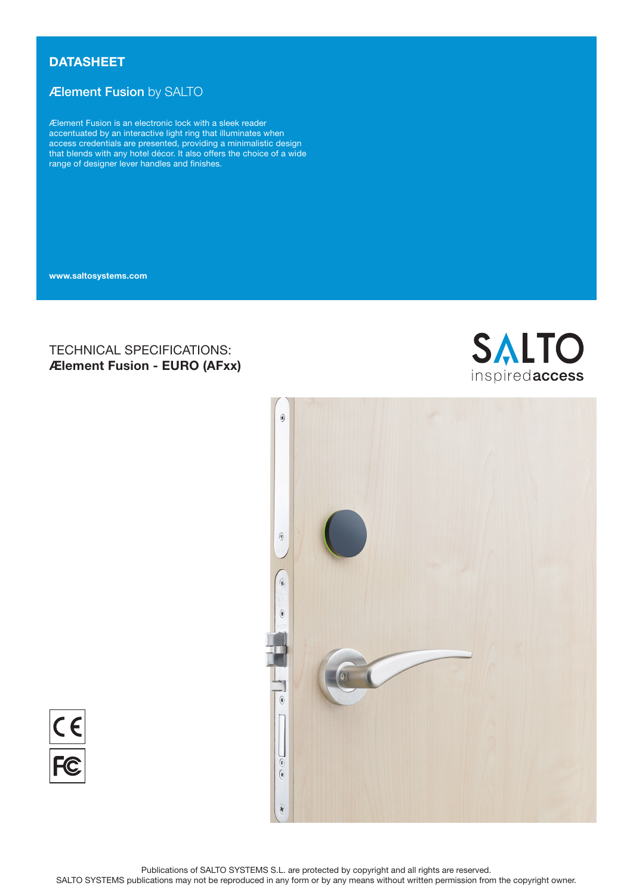# **DATASHEET**

# Ælement Fusion by SALTO

Ælement Fusion is an electronic lock with a sleek reader accentuated by an interactive light ring that illuminates when access credentials are presented, providing a minimalistic design that blends with any hotel décor. It also offers the choice of a wide range of designer lever handles and finishes.

www.saltosystems.com

# TECHNICAL SPECIFICATIONS: Ælement Fusion - EURO (AFxx)





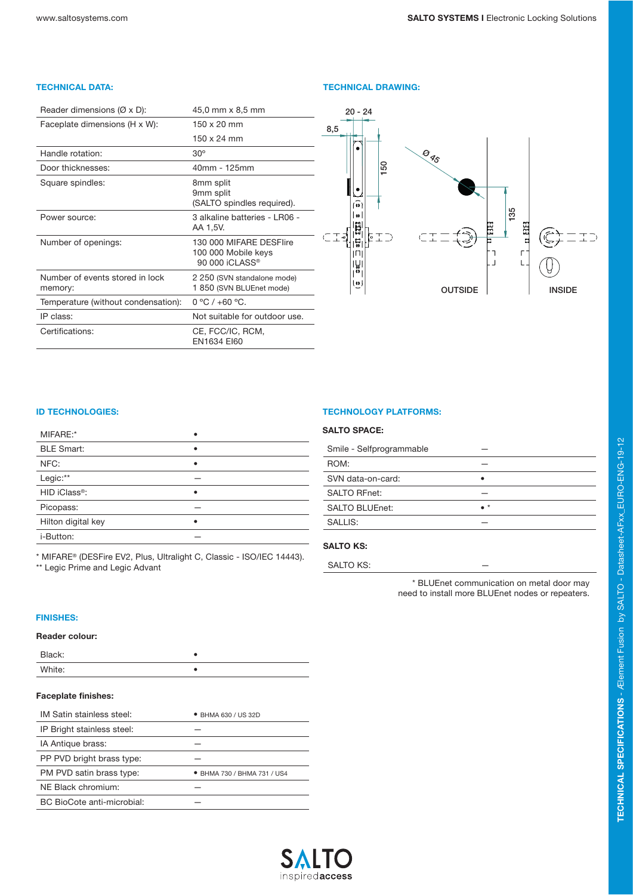## TECHNICAL DATA: TECHNICAL DRAWING:

| Reader dimensions $(\emptyset \times D)$ : | 45,0 mm x 8,5 mm                                                             |
|--------------------------------------------|------------------------------------------------------------------------------|
| Faceplate dimensions (H x W):              | 150 x 20 mm                                                                  |
|                                            | $150 \times 24$ mm                                                           |
| Handle rotation:                           | $30^\circ$                                                                   |
| Door thicknesses:                          | 40mm - 125mm                                                                 |
| Square spindles:                           | 8mm split<br>9mm split<br>(SALTO spindles required).                         |
| Power source:                              | 3 alkaline batteries - I R06 -<br>AA 1,5V.                                   |
| Number of openings:                        | 130 000 MIFARE DESElire<br>100 000 Mobile keys<br>90 000 iCLASS <sup>®</sup> |
| Number of events stored in lock<br>memory: | 2 250 (SVN standalone mode)<br>1 850 (SVN BLUEnet mode)                      |
| Temperature (without condensation):        | $0 °C / +60 °C$ .                                                            |
| IP class:                                  | Not suitable for outdoor use.                                                |
| Certifications:                            | CE, FCC/IC, RCM,<br><b>FN1634 FI60</b>                                       |



| MIFARE:*                  |   |
|---------------------------|---|
| <b>BLE Smart:</b>         | ٠ |
| NFC:                      | ٠ |
| Legic:**                  |   |
| HID iClass <sup>®</sup> : | ٠ |
| Picopass:                 |   |
| Hilton digital key        |   |
| i-Button:                 |   |

\* MIFARE® (DESFire EV2, Plus, Ultralight C, Classic - ISO/IEC 14443). \*\* Legic Prime and Legic Advant

## **ID TECHNOLOGIES:** TECHNOLOGY PLATFORMS:

### SALTO SPACE:

| Smile - Selfprogrammable |             |
|--------------------------|-------------|
| ROM:                     |             |
| SVN data-on-card:        |             |
| <b>SALTO RFnet:</b>      |             |
| <b>SALTO BLUEnet:</b>    | $\bullet$ * |
| SALLIS:                  |             |
|                          |             |

## SALTO KS:

SALTO KS:

\* BLUEnet communication on metal door may need to install more BLUEnet nodes or repeaters.

#### FINISHES:

### Reader colour:

| Black:<br>----- |  |
|-----------------|--|
| White:          |  |

## Faceplate finishes:

| IM Satin stainless steel:  | • BHMA 630 / US 32D       |
|----------------------------|---------------------------|
| IP Bright stainless steel: |                           |
| IA Antique brass:          |                           |
| PP PVD bright brass type:  |                           |
| PM PVD satin brass type:   | BHMA 730 / BHMA 731 / US4 |
| NE Black chromium:         |                           |
| BC BioCote anti-microbial: |                           |